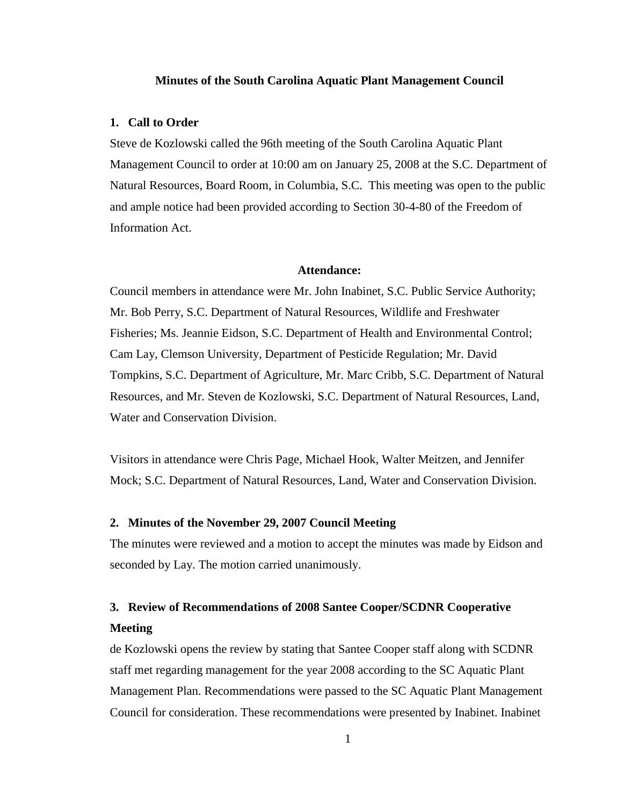#### **Minutes of the South Carolina Aquatic Plant Management Council**

### **1. Call to Order**

Steve de Kozlowski called the 96th meeting of the South Carolina Aquatic Plant Management Council to order at 10:00 am on January 25, 2008 at the S.C. Department of Natural Resources, Board Room, in Columbia, S.C. This meeting was open to the public and ample notice had been provided according to Section 30-4-80 of the Freedom of Information Act.

# **Attendance:**

Council members in attendance were Mr. John Inabinet, S.C. Public Service Authority; Mr. Bob Perry, S.C. Department of Natural Resources, Wildlife and Freshwater Fisheries; Ms. Jeannie Eidson, S.C. Department of Health and Environmental Control; Cam Lay, Clemson University, Department of Pesticide Regulation; Mr. David Tompkins, S.C. Department of Agriculture, Mr. Marc Cribb, S.C. Department of Natural Resources, and Mr. Steven de Kozlowski, S.C. Department of Natural Resources, Land, Water and Conservation Division.

Visitors in attendance were Chris Page, Michael Hook, Walter Meitzen, and Jennifer Mock; S.C. Department of Natural Resources, Land, Water and Conservation Division.

# **2. Minutes of the November 29, 2007 Council Meeting**

The minutes were reviewed and a motion to accept the minutes was made by Eidson and seconded by Lay. The motion carried unanimously.

# **3. Review of Recommendations of 2008 Santee Cooper/SCDNR Cooperative Meeting**

de Kozlowski opens the review by stating that Santee Cooper staff along with SCDNR staff met regarding management for the year 2008 according to the SC Aquatic Plant Management Plan. Recommendations were passed to the SC Aquatic Plant Management Council for consideration. These recommendations were presented by Inabinet. Inabinet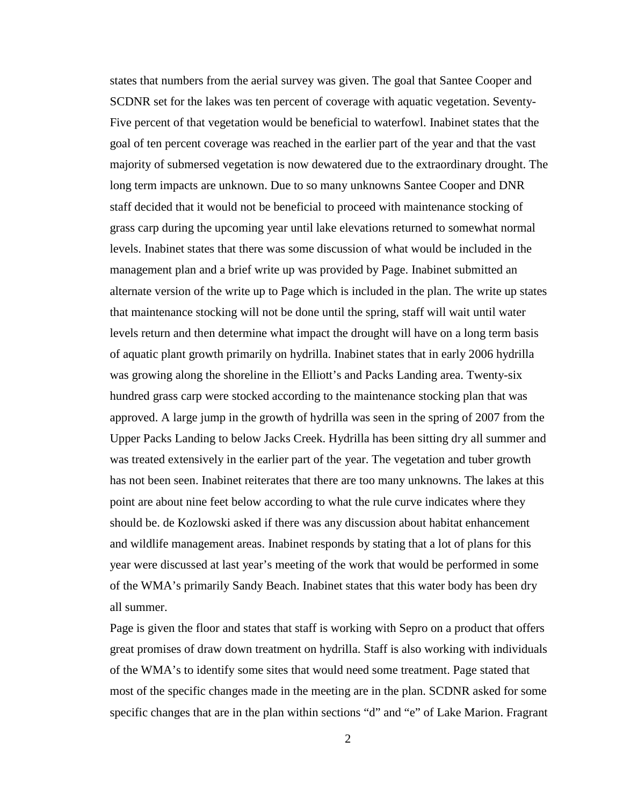states that numbers from the aerial survey was given. The goal that Santee Cooper and SCDNR set for the lakes was ten percent of coverage with aquatic vegetation. Seventy-Five percent of that vegetation would be beneficial to waterfowl. Inabinet states that the goal of ten percent coverage was reached in the earlier part of the year and that the vast majority of submersed vegetation is now dewatered due to the extraordinary drought. The long term impacts are unknown. Due to so many unknowns Santee Cooper and DNR staff decided that it would not be beneficial to proceed with maintenance stocking of grass carp during the upcoming year until lake elevations returned to somewhat normal levels. Inabinet states that there was some discussion of what would be included in the management plan and a brief write up was provided by Page. Inabinet submitted an alternate version of the write up to Page which is included in the plan. The write up states that maintenance stocking will not be done until the spring, staff will wait until water levels return and then determine what impact the drought will have on a long term basis of aquatic plant growth primarily on hydrilla. Inabinet states that in early 2006 hydrilla was growing along the shoreline in the Elliott's and Packs Landing area. Twenty-six hundred grass carp were stocked according to the maintenance stocking plan that was approved. A large jump in the growth of hydrilla was seen in the spring of 2007 from the Upper Packs Landing to below Jacks Creek. Hydrilla has been sitting dry all summer and was treated extensively in the earlier part of the year. The vegetation and tuber growth has not been seen. Inabinet reiterates that there are too many unknowns. The lakes at this point are about nine feet below according to what the rule curve indicates where they should be. de Kozlowski asked if there was any discussion about habitat enhancement and wildlife management areas. Inabinet responds by stating that a lot of plans for this year were discussed at last year's meeting of the work that would be performed in some of the WMA's primarily Sandy Beach. Inabinet states that this water body has been dry all summer.

Page is given the floor and states that staff is working with Sepro on a product that offers great promises of draw down treatment on hydrilla. Staff is also working with individuals of the WMA's to identify some sites that would need some treatment. Page stated that most of the specific changes made in the meeting are in the plan. SCDNR asked for some specific changes that are in the plan within sections "d" and "e" of Lake Marion. Fragrant

2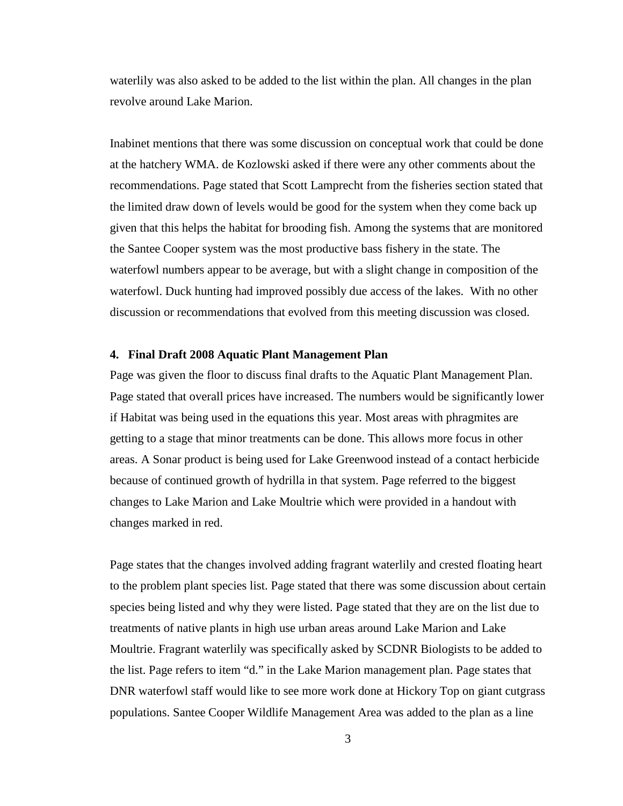waterlily was also asked to be added to the list within the plan. All changes in the plan revolve around Lake Marion.

Inabinet mentions that there was some discussion on conceptual work that could be done at the hatchery WMA. de Kozlowski asked if there were any other comments about the recommendations. Page stated that Scott Lamprecht from the fisheries section stated that the limited draw down of levels would be good for the system when they come back up given that this helps the habitat for brooding fish. Among the systems that are monitored the Santee Cooper system was the most productive bass fishery in the state. The waterfowl numbers appear to be average, but with a slight change in composition of the waterfowl. Duck hunting had improved possibly due access of the lakes. With no other discussion or recommendations that evolved from this meeting discussion was closed.

## **4. Final Draft 2008 Aquatic Plant Management Plan**

Page was given the floor to discuss final drafts to the Aquatic Plant Management Plan. Page stated that overall prices have increased. The numbers would be significantly lower if Habitat was being used in the equations this year. Most areas with phragmites are getting to a stage that minor treatments can be done. This allows more focus in other areas. A Sonar product is being used for Lake Greenwood instead of a contact herbicide because of continued growth of hydrilla in that system. Page referred to the biggest changes to Lake Marion and Lake Moultrie which were provided in a handout with changes marked in red.

Page states that the changes involved adding fragrant waterlily and crested floating heart to the problem plant species list. Page stated that there was some discussion about certain species being listed and why they were listed. Page stated that they are on the list due to treatments of native plants in high use urban areas around Lake Marion and Lake Moultrie. Fragrant waterlily was specifically asked by SCDNR Biologists to be added to the list. Page refers to item "d." in the Lake Marion management plan. Page states that DNR waterfowl staff would like to see more work done at Hickory Top on giant cutgrass populations. Santee Cooper Wildlife Management Area was added to the plan as a line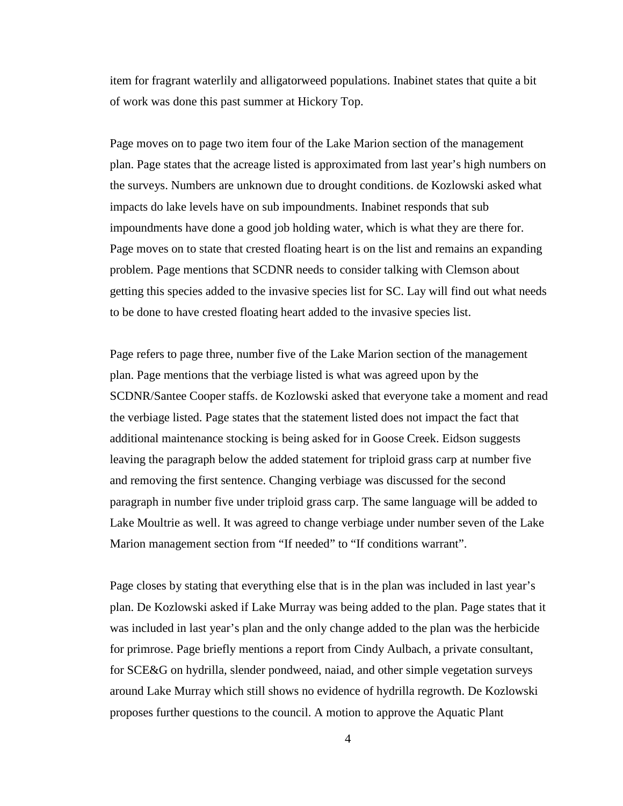item for fragrant waterlily and alligatorweed populations. Inabinet states that quite a bit of work was done this past summer at Hickory Top.

Page moves on to page two item four of the Lake Marion section of the management plan. Page states that the acreage listed is approximated from last year's high numbers on the surveys. Numbers are unknown due to drought conditions. de Kozlowski asked what impacts do lake levels have on sub impoundments. Inabinet responds that sub impoundments have done a good job holding water, which is what they are there for. Page moves on to state that crested floating heart is on the list and remains an expanding problem. Page mentions that SCDNR needs to consider talking with Clemson about getting this species added to the invasive species list for SC. Lay will find out what needs to be done to have crested floating heart added to the invasive species list.

Page refers to page three, number five of the Lake Marion section of the management plan. Page mentions that the verbiage listed is what was agreed upon by the SCDNR/Santee Cooper staffs. de Kozlowski asked that everyone take a moment and read the verbiage listed. Page states that the statement listed does not impact the fact that additional maintenance stocking is being asked for in Goose Creek. Eidson suggests leaving the paragraph below the added statement for triploid grass carp at number five and removing the first sentence. Changing verbiage was discussed for the second paragraph in number five under triploid grass carp. The same language will be added to Lake Moultrie as well. It was agreed to change verbiage under number seven of the Lake Marion management section from "If needed" to "If conditions warrant".

Page closes by stating that everything else that is in the plan was included in last year's plan. De Kozlowski asked if Lake Murray was being added to the plan. Page states that it was included in last year's plan and the only change added to the plan was the herbicide for primrose. Page briefly mentions a report from Cindy Aulbach, a private consultant, for SCE&G on hydrilla, slender pondweed, naiad, and other simple vegetation surveys around Lake Murray which still shows no evidence of hydrilla regrowth. De Kozlowski proposes further questions to the council. A motion to approve the Aquatic Plant